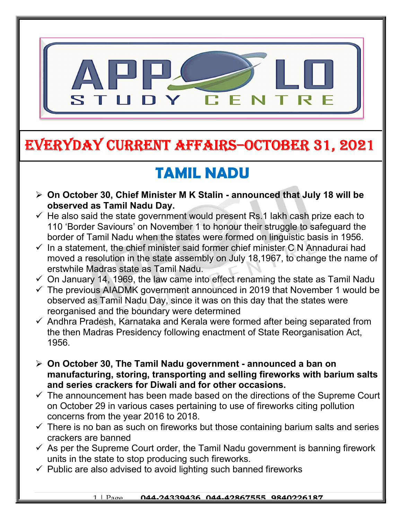

## EVERYDAY CURRENT AFFAIRS–OCTOBER 31, 2021

-

# TAMIL NADU

- On October 30, Chief Minister M K Stalin announced that July 18 will be observed as Tamil Nadu Day.
- $\checkmark$  He also said the state government would present Rs.1 lakh cash prize each to 110 'Border Saviours' on November 1 to honour their struggle to safeguard the border of Tamil Nadu when the states were formed on linguistic basis in 1956.
- $\checkmark$  In a statement, the chief minister said former chief minister C N Annadurai had moved a resolution in the state assembly on July 18,1967, to change the name of erstwhile Madras state as Tamil Nadu.
- $\checkmark$  On January 14, 1969, the law came into effect renaming the state as Tamil Nadu
- $\checkmark$  The previous AIADMK government announced in 2019 that November 1 would be observed as Tamil Nadu Day, since it was on this day that the states were reorganised and the boundary were determined
- $\checkmark$  Andhra Pradesh, Karnataka and Kerala were formed after being separated from the then Madras Presidency following enactment of State Reorganisation Act, 1956.
- $\triangleright$  On October 30, The Tamil Nadu government announced a ban on manufacturing, storing, transporting and selling fireworks with barium salts and series crackers for Diwali and for other occasions.
- $\checkmark$  The announcement has been made based on the directions of the Supreme Court on October 29 in various cases pertaining to use of fireworks citing pollution concerns from the year 2016 to 2018.
- $\checkmark$  There is no ban as such on fireworks but those containing barium salts and series crackers are banned
- $\checkmark$  As per the Supreme Court order, the Tamil Nadu government is banning firework units in the state to stop producing such fireworks.
- $\checkmark$  Public are also advised to avoid lighting such banned fireworks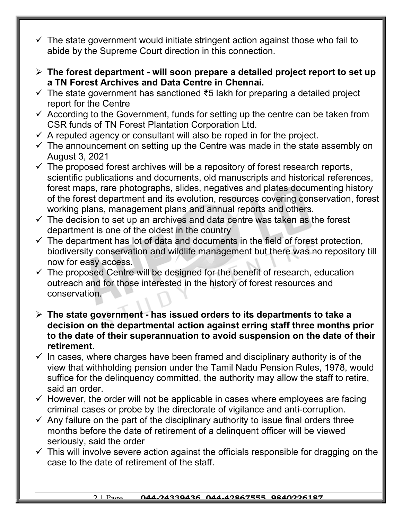- $\checkmark$  The state government would initiate stringent action against those who fail to abide by the Supreme Court direction in this connection.
- $\triangleright$  The forest department will soon prepare a detailed project report to set up a TN Forest Archives and Data Centre in Chennai.
- The state government has sanctioned ₹5 lakh for preparing a detailed project report for the Centre
- $\checkmark$  According to the Government, funds for setting up the centre can be taken from CSR funds of TN Forest Plantation Corporation Ltd.
- $\checkmark$  A reputed agency or consultant will also be roped in for the project.
- $\checkmark$  The announcement on setting up the Centre was made in the state assembly on August 3, 2021
- $\checkmark$  The proposed forest archives will be a repository of forest research reports, scientific publications and documents, old manuscripts and historical references, forest maps, rare photographs, slides, negatives and plates documenting history of the forest department and its evolution, resources covering conservation, forest working plans, management plans and annual reports and others.
- $\checkmark$  The decision to set up an archives and data centre was taken as the forest department is one of the oldest in the country
- $\checkmark$  The department has lot of data and documents in the field of forest protection, biodiversity conservation and wildlife management but there was no repository till now for easy access.
- $\checkmark$  The proposed Centre will be designed for the benefit of research, education outreach and for those interested in the history of forest resources and conservation.
- $\triangleright$  The state government has issued orders to its departments to take a decision on the departmental action against erring staff three months prior to the date of their superannuation to avoid suspension on the date of their retirement.
- $\checkmark$  In cases, where charges have been framed and disciplinary authority is of the view that withholding pension under the Tamil Nadu Pension Rules, 1978, would suffice for the delinquency committed, the authority may allow the staff to retire, said an order.
- $\checkmark$  However, the order will not be applicable in cases where employees are facing criminal cases or probe by the directorate of vigilance and anti-corruption.
- $\checkmark$  Any failure on the part of the disciplinary authority to issue final orders three months before the date of retirement of a delinquent officer will be viewed seriously, said the order
- $\checkmark$  This will involve severe action against the officials responsible for dragging on the case to the date of retirement of the staff.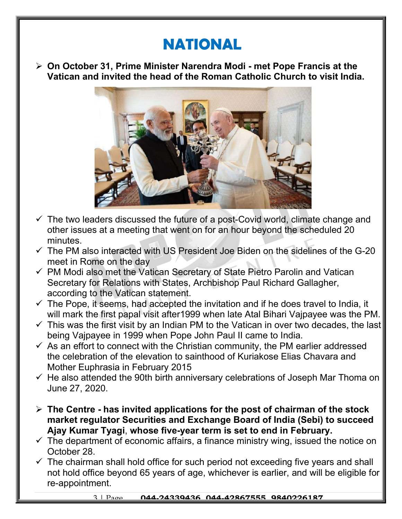## NATIONAL

 On October 31, Prime Minister Narendra Modi - met Pope Francis at the Vatican and invited the head of the Roman Catholic Church to visit India.



- $\checkmark$  The two leaders discussed the future of a post-Covid world, climate change and other issues at a meeting that went on for an hour beyond the scheduled 20 minutes.
- $\checkmark$  The PM also interacted with US President Joe Biden on the sidelines of the G-20 meet in Rome on the day
- $\checkmark$  PM Modi also met the Vatican Secretary of State Pietro Parolin and Vatican Secretary for Relations with States, Archbishop Paul Richard Gallagher, according to the Vatican statement.
- $\checkmark$  The Pope, it seems, had accepted the invitation and if he does travel to India, it will mark the first papal visit after1999 when late Atal Bihari Vajpayee was the PM.
- $\checkmark$  This was the first visit by an Indian PM to the Vatican in over two decades, the last being Vajpayee in 1999 when Pope John Paul II came to India.
- $\checkmark$  As an effort to connect with the Christian community, the PM earlier addressed the celebration of the elevation to sainthood of Kuriakose Elias Chavara and Mother Euphrasia in February 2015
- $\checkmark$  He also attended the 90th birth anniversary celebrations of Joseph Mar Thoma on June 27, 2020.
- $\triangleright$  The Centre has invited applications for the post of chairman of the stock market regulator Securities and Exchange Board of India (Sebi) to succeed Ajay Kumar Tyagi, whose five-year term is set to end in February.
- $\checkmark$  The department of economic affairs, a finance ministry wing, issued the notice on October 28.
- $\checkmark$  The chairman shall hold office for such period not exceeding five years and shall not hold office beyond 65 years of age, whichever is earlier, and will be eligible for re-appointment.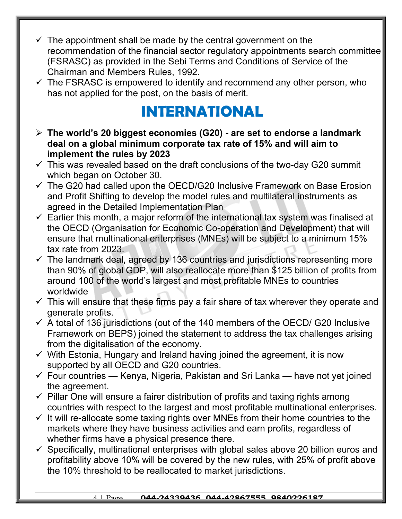- $\checkmark$  The appointment shall be made by the central government on the recommendation of the financial sector regulatory appointments search committee (FSRASC) as provided in the Sebi Terms and Conditions of Service of the Chairman and Members Rules, 1992.
- $\checkmark$  The FSRASC is empowered to identify and recommend any other person, who has not applied for the post, on the basis of merit.

#### INTERNATIONAL

- $\triangleright$  The world's 20 biggest economies (G20) are set to endorse a landmark deal on a global minimum corporate tax rate of 15% and will aim to implement the rules by 2023
- $\checkmark$  This was revealed based on the draft conclusions of the two-day G20 summit which began on October 30.
- $\checkmark$  The G20 had called upon the OECD/G20 Inclusive Framework on Base Erosion and Profit Shifting to develop the model rules and multilateral instruments as agreed in the Detailed Implementation Plan
- $\checkmark$  Earlier this month, a major reform of the international tax system was finalised at the OECD (Organisation for Economic Co-operation and Development) that will ensure that multinational enterprises (MNEs) will be subject to a minimum 15% tax rate from 2023.
- $\checkmark$  The landmark deal, agreed by 136 countries and jurisdictions representing more than 90% of global GDP, will also reallocate more than \$125 billion of profits from around 100 of the world's largest and most profitable MNEs to countries worldwide
- $\checkmark$  This will ensure that these firms pay a fair share of tax wherever they operate and generate profits.
- $\checkmark$  A total of 136 jurisdictions (out of the 140 members of the OECD/ G20 Inclusive Framework on BEPS) joined the statement to address the tax challenges arising from the digitalisation of the economy.
- $\checkmark$  With Estonia, Hungary and Ireland having joined the agreement, it is now supported by all OECD and G20 countries.
- $\checkmark$  Four countries Kenya, Nigeria, Pakistan and Sri Lanka have not yet joined the agreement.
- $\checkmark$  Pillar One will ensure a fairer distribution of profits and taxing rights among countries with respect to the largest and most profitable multinational enterprises.
- $\checkmark$  It will re-allocate some taxing rights over MNEs from their home countries to the markets where they have business activities and earn profits, regardless of whether firms have a physical presence there.
- $\checkmark$  Specifically, multinational enterprises with global sales above 20 billion euros and profitability above 10% will be covered by the new rules, with 25% of profit above the 10% threshold to be reallocated to market jurisdictions.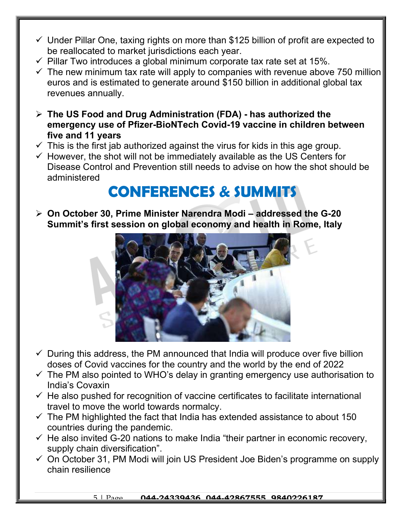- $\checkmark$  Under Pillar One, taxing rights on more than \$125 billion of profit are expected to be reallocated to market jurisdictions each year.
- $\checkmark$  Pillar Two introduces a global minimum corporate tax rate set at 15%.
- $\checkmark$  The new minimum tax rate will apply to companies with revenue above 750 million euros and is estimated to generate around \$150 billion in additional global tax revenues annually.
- $\triangleright$  The US Food and Drug Administration (FDA) has authorized the emergency use of Pfizer-BioNTech Covid-19 vaccine in children between five and 11 years
- $\checkmark$  This is the first jab authorized against the virus for kids in this age group.
- $\checkmark$  However, the shot will not be immediately available as the US Centers for Disease Control and Prevention still needs to advise on how the shot should be administered

### CONFERENCES & SUMMITS

 On October 30, Prime Minister Narendra Modi – addressed the G-20 Summit's first session on global economy and health in Rome, Italy



- $\checkmark$  During this address, the PM announced that India will produce over five billion doses of Covid vaccines for the country and the world by the end of 2022
- $\checkmark$  The PM also pointed to WHO's delay in granting emergency use authorisation to India's Covaxin
- $\checkmark$  He also pushed for recognition of vaccine certificates to facilitate international travel to move the world towards normalcy.
- $\checkmark$  The PM highlighted the fact that India has extended assistance to about 150 countries during the pandemic.
- $\checkmark$  He also invited G-20 nations to make India "their partner in economic recovery, supply chain diversification".
- $\checkmark$  On October 31, PM Modi will join US President Joe Biden's programme on supply chain resilience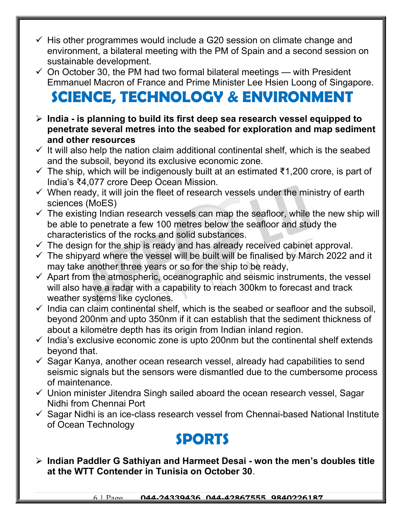- $\checkmark$  His other programmes would include a G20 session on climate change and environment, a bilateral meeting with the PM of Spain and a second session on sustainable development.
- $\checkmark$  On October 30, the PM had two formal bilateral meetings with President Emmanuel Macron of France and Prime Minister Lee Hsien Loong of Singapore.

## SCIENCE, TECHNOLOGY & ENVIRONMENT

- $\triangleright$  India is planning to build its first deep sea research vessel equipped to penetrate several metres into the seabed for exploration and map sediment and other resources
- $\checkmark$  It will also help the nation claim additional continental shelf, which is the seabed and the subsoil, beyond its exclusive economic zone.
- The ship, which will be indigenously built at an estimated ₹1,200 crore, is part of India's ₹4,077 crore Deep Ocean Mission.
- $\checkmark$  When ready, it will join the fleet of research vessels under the ministry of earth sciences (MoES)
- $\checkmark$  The existing Indian research vessels can map the seafloor, while the new ship will be able to penetrate a few 100 metres below the seafloor and study the characteristics of the rocks and solid substances.
- $\checkmark$  The design for the ship is ready and has already received cabinet approval.
- $\checkmark$  The shipyard where the vessel will be built will be finalised by March 2022 and it may take another three years or so for the ship to be ready,
- $\checkmark$  Apart from the atmospheric, oceanographic and seismic instruments, the vessel will also have a radar with a capability to reach 300km to forecast and track weather systems like cyclones.
- $\checkmark$  India can claim continental shelf, which is the seabed or seafloor and the subsoil, beyond 200nm and upto 350nm if it can establish that the sediment thickness of about a kilometre depth has its origin from Indian inland region.
- $\checkmark$  India's exclusive economic zone is upto 200nm but the continental shelf extends beyond that.
- $\checkmark$  Sagar Kanya, another ocean research vessel, already had capabilities to send seismic signals but the sensors were dismantled due to the cumbersome process of maintenance.
- $\checkmark$  Union minister Jitendra Singh sailed aboard the ocean research vessel, Sagar Nidhi from Chennai Port
- $\checkmark$  Sagar Nidhi is an ice-class research vessel from Chennai-based National Institute of Ocean Technology

## SPORTS

 $\triangleright$  Indian Paddler G Sathiyan and Harmeet Desai - won the men's doubles title at the WTT Contender in Tunisia on October 30.